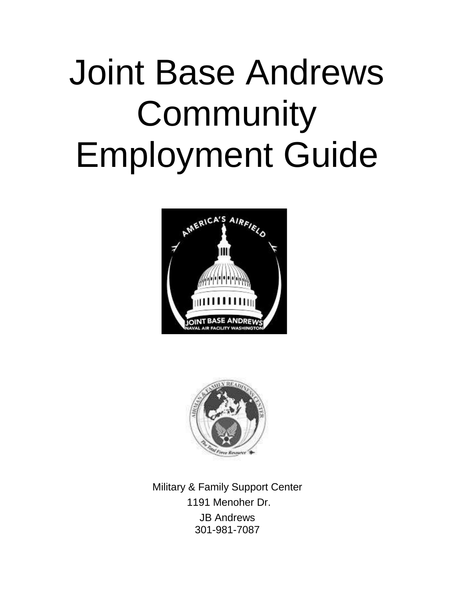# Joint Base Andrews **Community** Employment Guide





Military & Family Support Center 1191 Menoher Dr. JB Andrews 301-981-7087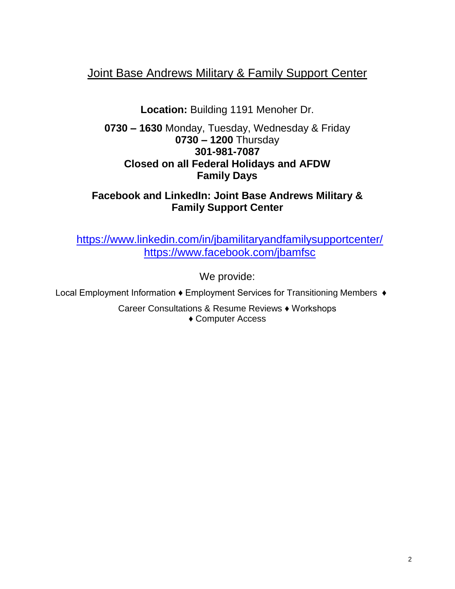## Joint Base Andrews Military & Family Support Center

**Location:** Building 1191 Menoher Dr.

**0730 – 1630** Monday, Tuesday, Wednesday & Friday **0730 – 1200** Thursday **301-981-7087 Closed on all Federal Holidays and AFDW Family Days**

### **Facebook and LinkedIn: Joint Base Andrews Military & Family Support Center**

<https://www.linkedin.com/in/jbamilitaryandfamilysupportcenter/> <https://www.facebook.com/jbamfsc>

We provide:

Local Employment Information ♦ Employment Services for Transitioning Members ♦

Career Consultations & Resume Reviews ♦ Workshops ♦ Computer Access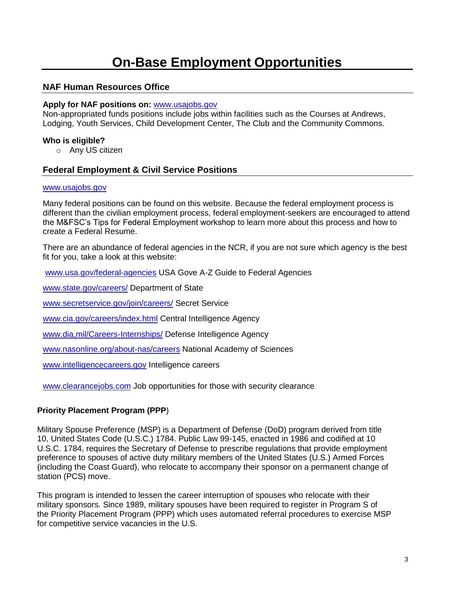## **On-Base Employment Opportunities**

#### **NAF Human Resources Office**

#### **Apply for NAF positions on:** [www.usajobs.gov](file:///C:/Users/1080808522C/AppData/Local/Microsoft/Windows/INetCache/Content.Outlook/7WAPV8NO/www.usajobs.gov)

Non-appropriated funds positions include jobs within facilities such as the Courses at Andrews, Lodging, Youth Services, Child Development Center, The Club and the Community Commons.

#### **Who is eligible?**

o Any US citizen

#### **Federal Employment & Civil Service Positions**

#### [www.usajobs.gov](http://www.usajobs.gov/)

Many federal positions can be found on this website. Because the federal employment process is different than the civilian employment process, federal employment-seekers are encouraged to attend the M&FSC's Tips for Federal Employment workshop to learn more about this process and how to create a Federal Resume.

There are an abundance of federal agencies in the NCR, if you are not sure which agency is the best fit for you, take a look at this website:

[www.usa.gov/federal-agencies](http://www.usa.gov/federal-agencies) USA Gove A-Z Guide to Federal Agencies

[www.state.gov/careers/](http://www.state.gov/careers/) Department of State

[www.secretservice.gov/join/careers/](http://www.secretservice.gov/join/careers/) Secret Service

[www.cia.gov/careers/index.html](http://www.cia.gov/careers/index.html) Central Intelligence Agency

[www.dia,mil/Careers-Internships/](http://www.dia,mil/Careers-Internships/) Defense Intelligence Agency

[www.nasonline.org/about-nas/careers](http://www.nasonline.org/about-nas/careers) National Academy of Sciences

[www.intelligencecareers.gov](http://www.intelligencecareers.gov/) Intelligence careers

[www.clearancejobs.com](http://www.clearancejobs.com/) Job opportunities for those with security clearance

#### **Priority Placement Program (PPP**)

Military Spouse Preference (MSP) is a Department of Defense (DoD) program derived from title 10, United States Code (U.S.C.) 1784. Public Law 99-145, enacted in 1986 and codified at 10 U.S.C. 1784, requires the Secretary of Defense to prescribe regulations that provide employment preference to spouses of active duty military members of the United States (U.S.) Armed Forces (including the Coast Guard), who relocate to accompany their sponsor on a permanent change of station (PCS) move.

This program is intended to lessen the career interruption of spouses who relocate with their military sponsors. Since 1989, military spouses have been required to register in Program S of the Priority Placement Program (PPP) which uses automated referral procedures to exercise MSP for competitive service vacancies in the U.S.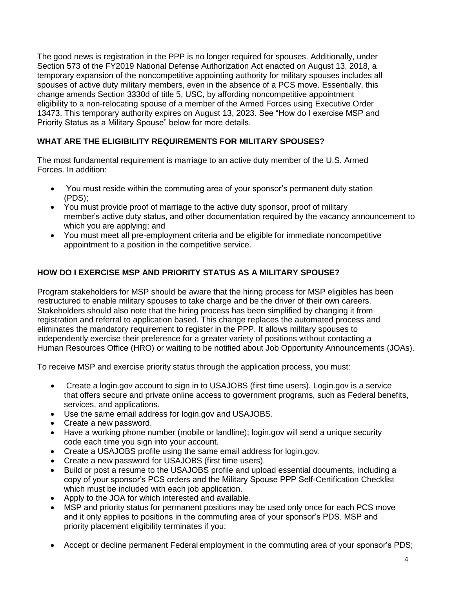The good news is registration in the PPP is no longer required for spouses. Additionally, under Section 573 of the FY2019 National Defense Authorization Act enacted on August 13, 2018, a temporary expansion of the noncompetitive appointing authority for military spouses includes all spouses of active duty military members, even in the absence of a PCS move. Essentially, this change amends Section 3330d of title 5, USC, by affording noncompetitive appointment eligibility to a non-relocating spouse of a member of the Armed Forces using Executive Order 13473. This temporary authority expires on August 13, 2023. See "How do I exercise MSP and Priority Status as a Military Spouse" below for more details.

#### **WHAT ARE THE ELIGIBILITY REQUIREMENTS FOR MILITARY SPOUSES?**

The most fundamental requirement is marriage to an active duty member of the U.S. Armed Forces. In addition:

- You must reside within the commuting area of your sponsor's permanent duty station (PDS);
- You must provide proof of marriage to the active duty sponsor, proof of military member's active duty status, and other documentation required by the vacancy announcement to which you are applying; and
- You must meet all pre-employment criteria and be eligible for immediate noncompetitive appointment to a position in the competitive service.

#### **HOW DO I EXERCISE MSP AND PRIORITY STATUS AS A MILITARY SPOUSE?**

Program stakeholders for MSP should be aware that the hiring process for MSP eligibles has been restructured to enable military spouses to take charge and be the driver of their own careers. Stakeholders should also note that the hiring process has been simplified by changing it from registration and referral to application based. This change replaces the automated process and eliminates the mandatory requirement to register in the PPP. It allows military spouses to independently exercise their preference for a greater variety of positions without contacting a Human Resources Office (HRO) or waiting to be notified about Job Opportunity Announcements (JOAs).

To receive MSP and exercise priority status through the application process, you must:

- Create a login.gov account to sign in to USAJOBS (first time users). Login.gov is a service that offers secure and private online access to government programs, such as Federal benefits, services, and applications.
- Use the same email address for login.gov and USAJOBS.
- Create a new password.
- Have a working phone number (mobile or landline); login.gov will send a unique security code each time you sign into your account.
- Create a USAJOBS profile using the same email address for login.gov.
- Create a new password for USAJOBS (first time users).
- Build or post a resume to the USAJOBS profile and upload essential documents, including a copy of your sponsor's PCS orders and the Military Spouse PPP Self-Certification Checklist which must be included with each job application.
- Apply to the JOA for which interested and available.
- MSP and priority status for permanent positions may be used only once for each PCS move and it only applies to positions in the commuting area of your sponsor's PDS. MSP and priority placement eligibility terminates if you:
- Accept or decline permanent Federal employment in the commuting area of your sponsor's PDS;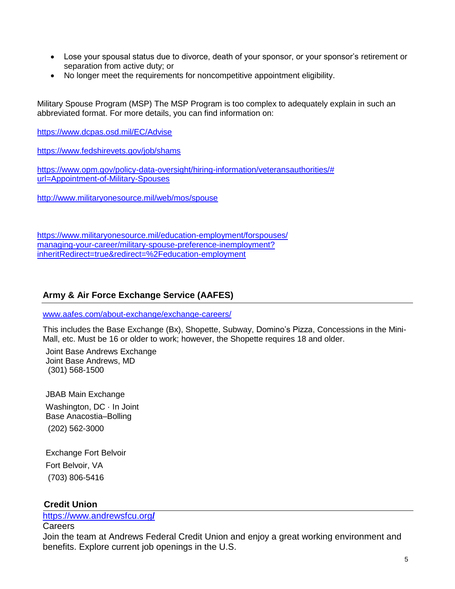- Lose your spousal status due to divorce, death of your sponsor, or your sponsor's retirement or separation from active duty; or
- No longer meet the requirements for noncompetitive appointment eligibility.

Military Spouse Program (MSP) The MSP Program is too complex to adequately explain in such an abbreviated format. For more details, you can find information on:

<https://www.dcpas.osd.mil/EC/Advise>

[https://www.fedshirevets.gov/job/shams](https://www.fedshirevets.gov/job/shams/)

[https://www.opm.gov/policy-data-oversight/hiring-information/veteransauthorities/#](https://www.opm.gov/policy-data-oversight/hiring-information/veteransauthorities/) [url=Appointment-of-Military-Spouses](https://www.opm.gov/policy-data-oversight/hiring-information/veteransauthorities/)

<http://www.militaryonesource.mil/web/mos/spouse>

<https://www.militaryonesource.mil/education-employment/forspouses/> [managing-your-career/military-spouse-preference-inemployment?](https://www.militaryonesource.mil/education-employment/forspouses/) [inheritRedirect=true&redirect=%2Feducation-employment](https://www.militaryonesource.mil/education-employment/forspouses/)

#### **Army & Air Force Exchange Service (AAFES)**

[www.aafes.com/about-exchange/exchange-careers/](http://www.aafes.com/about-exchange/exchange-careers/)

This includes the Base Exchange (Bx), Shopette, Subway, Domino's Pizza, Concessions in the Mini-Mall, etc. Must be 16 or older to work; however, the Shopette requires 18 and older.

Joint Base Andrews Exchange Joint Base Andrews, MD (301) 568-1500

JBAB Main Exchange Washington, DC · In Joint Base Anacostia–Bolling (202) 562-3000

Exchange Fort Belvoir Fort Belvoir, VA (703) 806-5416

#### **Credit Union**

[https://www.andrewsfcu.org](https://www.andrewsfcu.org/)**/**

Careers

Join the team at Andrews Federal Credit Union and enjoy a great working environment and benefits. Explore current job openings in the U.S.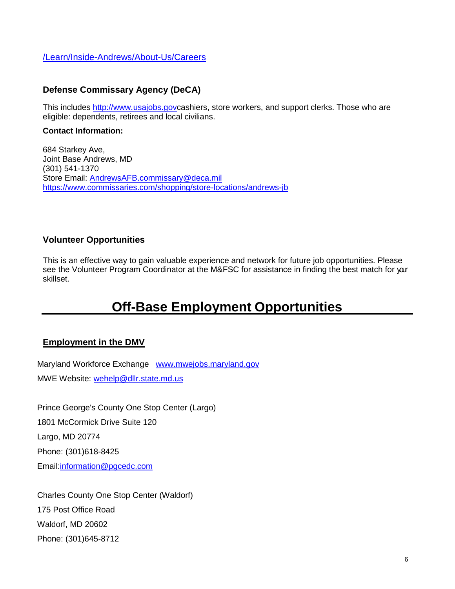[/Learn/Inside-Andrews/About-Us/Careers](file:///C:/Learn/Inside-Andrews/About-Us/Careers)

#### **Defense Commissary Agency (DeCA)**

This includes [http://www.usajobs.govc](http://www.usajobs.gov/)ashiers, store workers, and support clerks. Those who are eligible: dependents, retirees and local civilians.

#### **Contact Information:**

684 Starkey Ave, Joint Base Andrews, MD (301) 541-1370 Store Email: [AndrewsAFB.commissary@deca.mil](file:///C:/Users/1080808522C/AppData/Local/Microsoft/Windows/INetCache/Content.Outlook/7WAPV8NO/AndrewsAFB.commissary@deca.mil) <https://www.commissaries.com/shopping/store-locations/andrews-jb>

#### **Volunteer Opportunities**

This is an effective way to gain valuable experience and network for future job opportunities. Please see the Volunteer Program Coordinator at the M&FSC for assistance in finding the best match for yar skillset.

# **Off-Base Employment Opportunities**

#### **Employment in the DMV**

Maryland Workforce Exchange [www.mwejobs.maryland.gov](file:///C:/Users/1080808522C/Desktop/www.mwejobs.maryland.gov) MWE Website: [wehelp@dllr.state.md.us](file:///C:/Users/1080808522C/Desktop/wehelp@dllr.state.md.us)

Prince George's County One Stop Center (Largo) 1801 McCormick Drive Suite 120 Largo, MD 20774 Phone: (301)618-8425 Email[:information@pgcedc.com](file:///C:/Users/1080808522C/Desktop/information@pgcedc.com)

Charles County One Stop Center (Waldorf) 175 Post Office Road Waldorf, MD 20602 Phone: (301)645-8712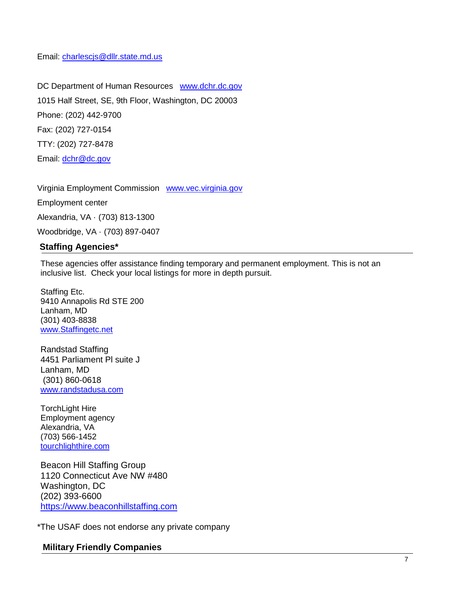Email: [charlescjs@dllr.state.md.us](file:///C:/Users/1080808522C/Desktop/charlescjs@dllr.state.md.us)

DC Department of Human Resources [www.dchr.dc.gov](file:///C:/Users/1080808522C/Desktop/www.dchr.dc.gov) 1015 Half Street, SE, 9th Floor, Washington, DC 20003 Phone: (202) 442-9700 Fax: (202) 727-0154 TTY: (202) 727-8478 Email: [dchr@dc.gov](file:///C:/Users/1080808522C/Desktop/dchr@dc.gov)

Virginia Employment Commission [www.vec.virginia.gov](file:///C:/Users/1080808522C/Desktop/www.vec.virginia.gov) Employment center

Alexandria, VA · (703) 813-1300

Woodbridge, VA · (703) 897-0407

#### **Staffing Agencies\***

These agencies offer assistance finding temporary and permanent employment. This is not an inclusive list. Check your local listings for more in depth pursuit.

Staffing Etc. 9410 Annapolis Rd STE 200 Lanham, MD (301) 403-8838 [www.Staffingetc.net](http://www.staffingetc.net/)

Randstad Staffing 4451 Parliament Pl suite J Lanham, MD (301) 860-0618 [www.randstadusa.com](file:///C:/Users/1080808522C/Desktop/www.randstadusa.com)

TorchLight Hire Employment agency Alexandria, VA (703) 566-1452 [tourchlighthire.com](file:///C:/Users/1080808522C/Desktop/tourchlighthire.com)

Beacon Hill Staffing Group 1120 Connecticut Ave NW #480 Washington, DC (202) 393-6600 [https://www.beaconhillstaffing.com](https://www.beaconhillstaffing.com/)

\*The USAF does not endorse any private company

#### **Military Friendly Companies**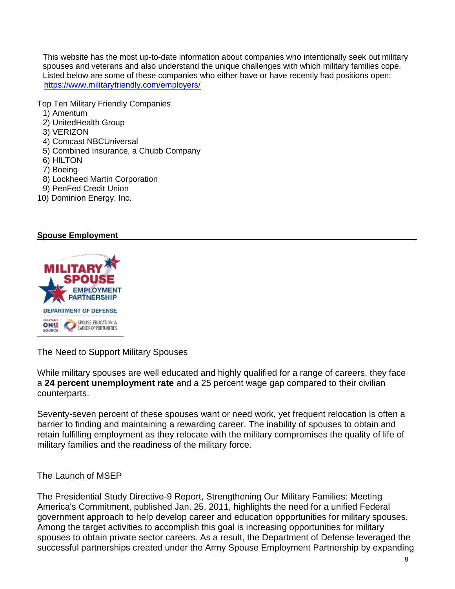This website has the most up-to-date information about companies who intentionally seek out military spouses and veterans and also understand the unique challenges with which military families cope. Listed below are some of these companies who either have or have recently had positions open: <https://www.militaryfriendly.com/employers/>

Top Ten Military Friendly Companies

- 1) Amentum
- 2) UnitedHealth Group
- 3) VERIZON
- 4) Comcast NBCUniversal
- 5) Combined Insurance, a Chubb Company
- 6) HILTON
- 7) Boeing
- 8) Lockheed Martin Corporation
- 9) PenFed Credit Union
- 10) Dominion Energy, Inc.

#### **Spouse Employment**



The Need to Support Military Spouses

While military spouses are well educated and highly qualified for a range of careers, they face a **[24 percent unemployment rate](https://download.militaryonesource.mil/12038/MOS/Infographic/OPA-Military-Families-Spouse-Employment-and-Education-2017-Survey-of-Active-Duty-Spouses.pdf)** and a 25 percent wage gap compared to their civilian counterparts.

Seventy-seven percent of these spouses want or need work, yet frequent relocation is often a barrier to finding and maintaining a rewarding career. The inability of spouses to obtain and retain fulfilling employment as they relocate with the military compromises the quality of life of military families and the readiness of the military force.

#### The Launch of MSEP

The Presidential Study Directive-9 Report, Strengthening Our Military Families: Meeting America's Commitment, published Jan. 25, 2011, highlights the need for a unified Federal government approach to help develop career and education opportunities for military spouses. Among the target activities to accomplish this goal is increasing opportunities for military spouses to obtain private sector careers. As a result, the Department of Defense leveraged the successful partnerships created under the Army Spouse Employment Partnership by expanding